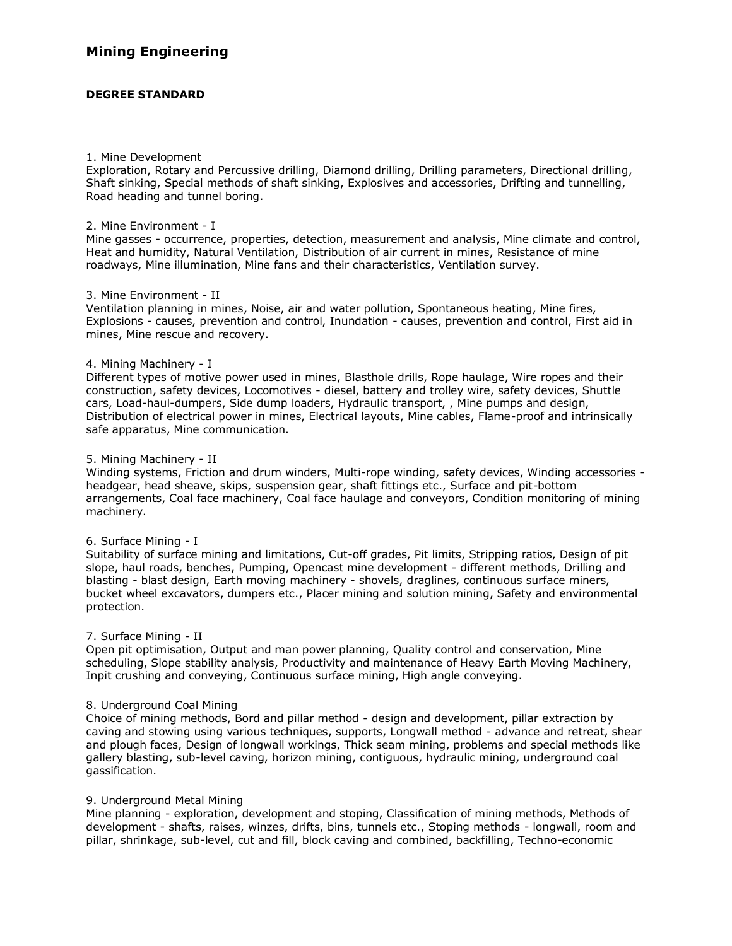# **Mining Engineering**

## **DEGREE STANDARD**

#### 1. Mine Development

Exploration, Rotary and Percussive drilling, Diamond drilling, Drilling parameters, Directional drilling, Shaft sinking, Special methods of shaft sinking, Explosives and accessories, Drifting and tunnelling, Road heading and tunnel boring.

#### 2. Mine Environment - I

Mine gasses - occurrence, properties, detection, measurement and analysis, Mine climate and control, Heat and humidity, Natural Ventilation, Distribution of air current in mines, Resistance of mine roadways, Mine illumination, Mine fans and their characteristics, Ventilation survey.

### 3. Mine Environment - II

Ventilation planning in mines, Noise, air and water pollution, Spontaneous heating, Mine fires, Explosions - causes, prevention and control, Inundation - causes, prevention and control, First aid in mines, Mine rescue and recovery.

### 4. Mining Machinery - I

Different types of motive power used in mines, Blasthole drills, Rope haulage, Wire ropes and their construction, safety devices, Locomotives - diesel, battery and trolley wire, safety devices, Shuttle cars, Load-haul-dumpers, Side dump loaders, Hydraulic transport, , Mine pumps and design, Distribution of electrical power in mines, Electrical layouts, Mine cables, Flame-proof and intrinsically safe apparatus, Mine communication.

### 5. Mining Machinery - II

Winding systems, Friction and drum winders, Multi-rope winding, safety devices, Winding accessories headgear, head sheave, skips, suspension gear, shaft fittings etc., Surface and pit-bottom arrangements, Coal face machinery, Coal face haulage and conveyors, Condition monitoring of mining machinery.

### 6. Surface Mining - I

Suitability of surface mining and limitations, Cut-off grades, Pit limits, Stripping ratios, Design of pit slope, haul roads, benches, Pumping, Opencast mine development - different methods, Drilling and blasting - blast design, Earth moving machinery - shovels, draglines, continuous surface miners, bucket wheel excavators, dumpers etc., Placer mining and solution mining, Safety and environmental protection.

### 7. Surface Mining - II

Open pit optimisation, Output and man power planning, Quality control and conservation, Mine scheduling, Slope stability analysis, Productivity and maintenance of Heavy Earth Moving Machinery, Inpit crushing and conveying, Continuous surface mining, High angle conveying.

### 8. Underground Coal Mining

Choice of mining methods, Bord and pillar method - design and development, pillar extraction by caving and stowing using various techniques, supports, Longwall method - advance and retreat, shear and plough faces, Design of longwall workings, Thick seam mining, problems and special methods like gallery blasting, sub-level caving, horizon mining, contiguous, hydraulic mining, underground coal gassification.

### 9. Underground Metal Mining

Mine planning - exploration, development and stoping, Classification of mining methods, Methods of development - shafts, raises, winzes, drifts, bins, tunnels etc., Stoping methods - longwall, room and pillar, shrinkage, sub-level, cut and fill, block caving and combined, backfilling, Techno-economic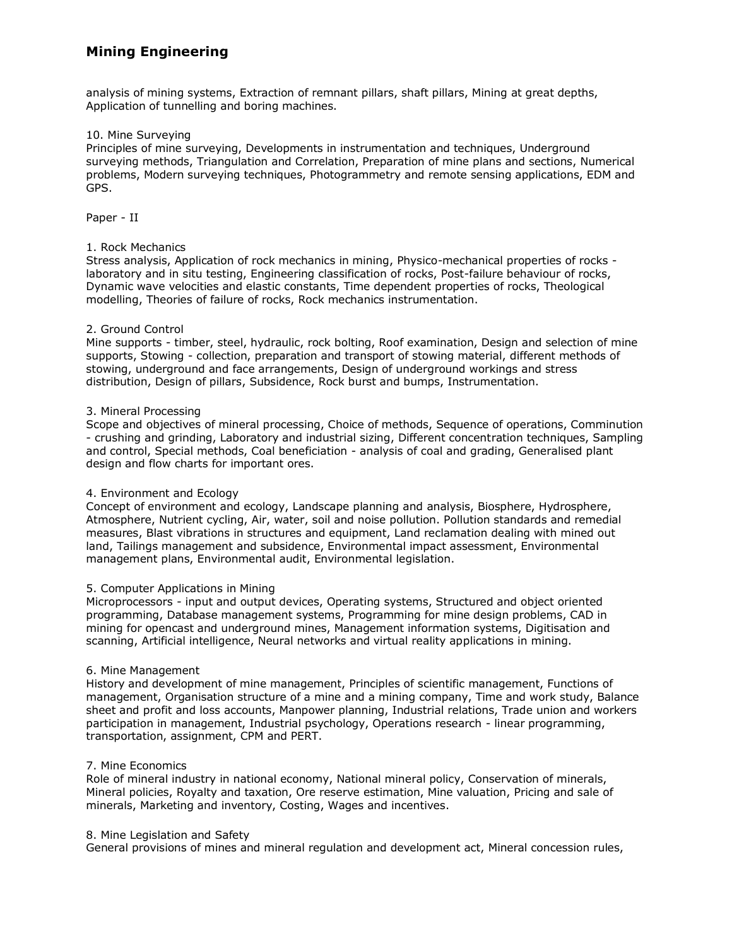# **Mining Engineering**

analysis of mining systems, Extraction of remnant pillars, shaft pillars, Mining at great depths, Application of tunnelling and boring machines.

## 10. Mine Surveying

Principles of mine surveying, Developments in instrumentation and techniques, Underground surveying methods, Triangulation and Correlation, Preparation of mine plans and sections, Numerical problems, Modern surveying techniques, Photogrammetry and remote sensing applications, EDM and GPS.

Paper - II

### 1. Rock Mechanics

Stress analysis, Application of rock mechanics in mining, Physico-mechanical properties of rocks laboratory and in situ testing, Engineering classification of rocks, Post-failure behaviour of rocks, Dynamic wave velocities and elastic constants, Time dependent properties of rocks, Theological modelling, Theories of failure of rocks, Rock mechanics instrumentation.

### 2. Ground Control

Mine supports - timber, steel, hydraulic, rock bolting, Roof examination, Design and selection of mine supports, Stowing - collection, preparation and transport of stowing material, different methods of stowing, underground and face arrangements, Design of underground workings and stress distribution, Design of pillars, Subsidence, Rock burst and bumps, Instrumentation.

### 3. Mineral Processing

Scope and objectives of mineral processing, Choice of methods, Sequence of operations, Comminution - crushing and grinding, Laboratory and industrial sizing, Different concentration techniques, Sampling and control, Special methods, Coal beneficiation - analysis of coal and grading, Generalised plant design and flow charts for important ores.

### 4. Environment and Ecology

Concept of environment and ecology, Landscape planning and analysis, Biosphere, Hydrosphere, Atmosphere, Nutrient cycling, Air, water, soil and noise pollution. Pollution standards and remedial measures, Blast vibrations in structures and equipment, Land reclamation dealing with mined out land, Tailings management and subsidence, Environmental impact assessment, Environmental management plans, Environmental audit, Environmental legislation.

### 5. Computer Applications in Mining

Microprocessors - input and output devices, Operating systems, Structured and object oriented programming, Database management systems, Programming for mine design problems, CAD in mining for opencast and underground mines, Management information systems, Digitisation and scanning, Artificial intelligence, Neural networks and virtual reality applications in mining.

### 6. Mine Management

History and development of mine management, Principles of scientific management, Functions of management, Organisation structure of a mine and a mining company, Time and work study, Balance sheet and profit and loss accounts, Manpower planning, Industrial relations, Trade union and workers participation in management, Industrial psychology, Operations research - linear programming, transportation, assignment, CPM and PERT.

### 7. Mine Economics

Role of mineral industry in national economy, National mineral policy, Conservation of minerals, Mineral policies, Royalty and taxation, Ore reserve estimation, Mine valuation, Pricing and sale of minerals, Marketing and inventory, Costing, Wages and incentives.

#### 8. Mine Legislation and Safety

General provisions of mines and mineral regulation and development act, Mineral concession rules,